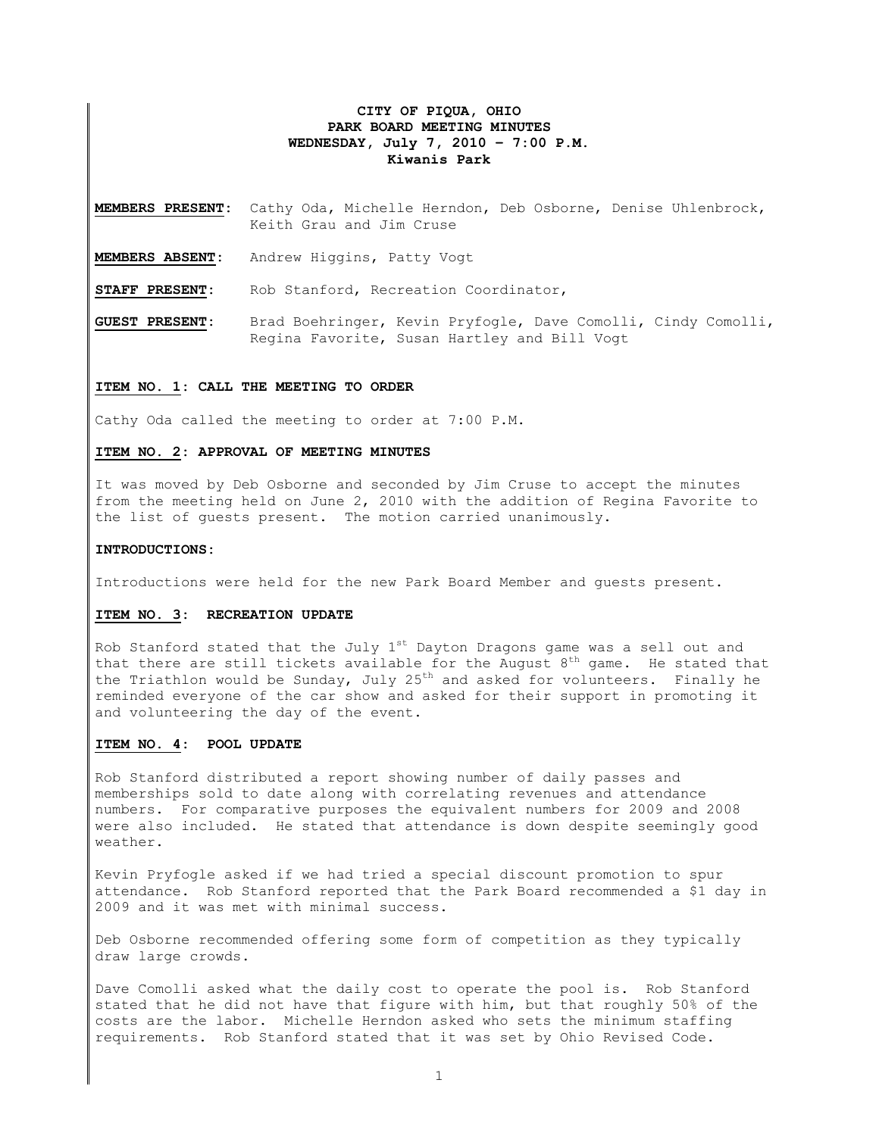## **CITY OF PIQUA, OHIO PARK BOARD MEETING MINUTES WEDNESDAY, July 7, 2010 – 7:00 P.M. Kiwanis Park**

**MEMBERS PRESENT:** Cathy Oda, Michelle Herndon, Deb Osborne, Denise Uhlenbrock, Keith Grau and Jim Cruse

**MEMBERS ABSENT:** Andrew Higgins, Patty Vogt

**STAFF PRESENT:** Rob Stanford, Recreation Coordinator,

**GUEST PRESENT:** Brad Boehringer, Kevin Pryfogle, Dave Comolli, Cindy Comolli, Regina Favorite, Susan Hartley and Bill Vogt

## **ITEM NO. 1: CALL THE MEETING TO ORDER**

Cathy Oda called the meeting to order at 7:00 P.M.

## **ITEM NO. 2: APPROVAL OF MEETING MINUTES**

It was moved by Deb Osborne and seconded by Jim Cruse to accept the minutes from the meeting held on June 2, 2010 with the addition of Regina Favorite to the list of guests present. The motion carried unanimously.

#### **INTRODUCTIONS:**

Introductions were held for the new Park Board Member and guests present.

## **ITEM NO. 3: RECREATION UPDATE**

Rob Stanford stated that the July 1st Dayton Dragons game was a sell out and that there are still tickets available for the August  $8<sup>th</sup>$  game. He stated that the Triathlon would be Sunday, July 25<sup>th</sup> and asked for volunteers. Finally he reminded everyone of the car show and asked for their support in promoting it and volunteering the day of the event.

#### **ITEM NO. 4: POOL UPDATE**

Rob Stanford distributed a report showing number of daily passes and memberships sold to date along with correlating revenues and attendance numbers. For comparative purposes the equivalent numbers for 2009 and 2008 were also included. He stated that attendance is down despite seemingly good weather.

Kevin Pryfogle asked if we had tried a special discount promotion to spur attendance. Rob Stanford reported that the Park Board recommended a \$1 day in 2009 and it was met with minimal success.

Deb Osborne recommended offering some form of competition as they typically draw large crowds.

Dave Comolli asked what the daily cost to operate the pool is. Rob Stanford stated that he did not have that figure with him, but that roughly 50% of the costs are the labor. Michelle Herndon asked who sets the minimum staffing requirements. Rob Stanford stated that it was set by Ohio Revised Code.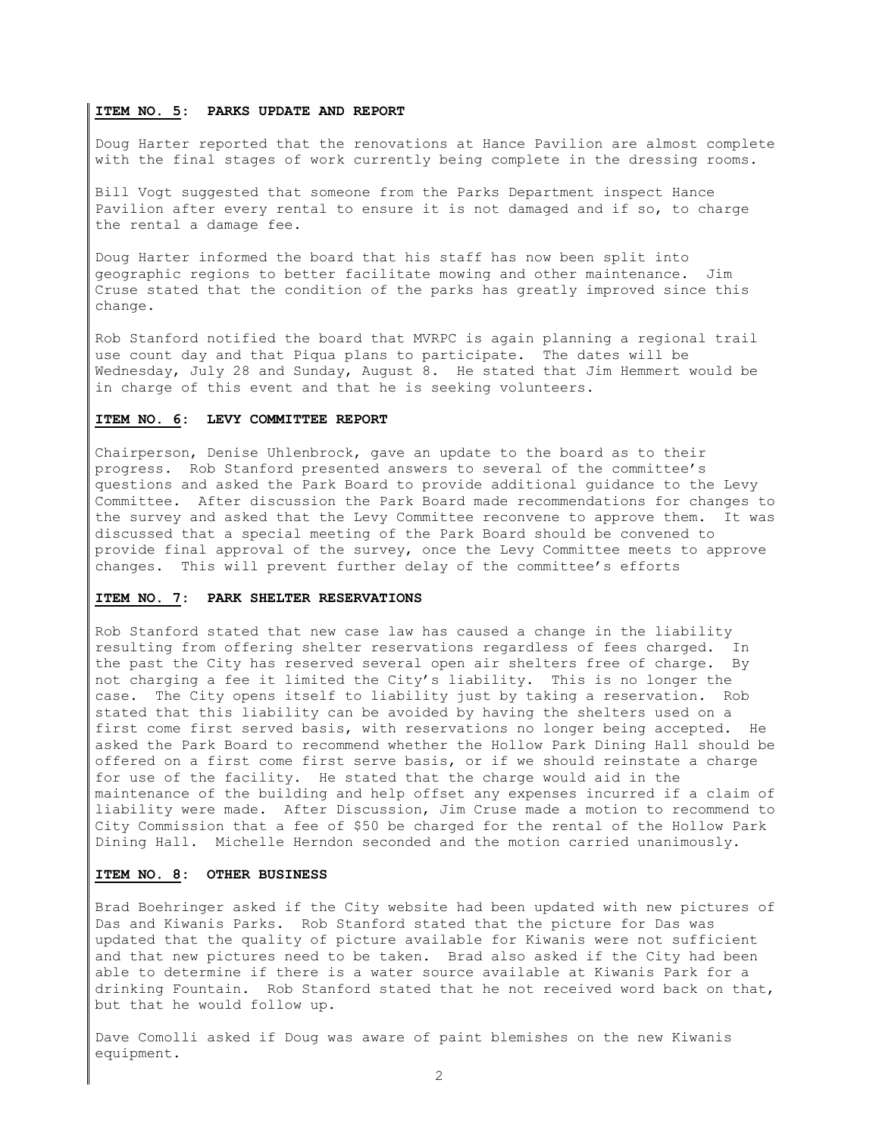#### **ITEM NO. 5: PARKS UPDATE AND REPORT**

Doug Harter reported that the renovations at Hance Pavilion are almost complete with the final stages of work currently being complete in the dressing rooms.

Bill Vogt suggested that someone from the Parks Department inspect Hance Pavilion after every rental to ensure it is not damaged and if so, to charge the rental a damage fee.

Doug Harter informed the board that his staff has now been split into geographic regions to better facilitate mowing and other maintenance. Jim Cruse stated that the condition of the parks has greatly improved since this change.

Rob Stanford notified the board that MVRPC is again planning a regional trail use count day and that Piqua plans to participate. The dates will be Wednesday, July 28 and Sunday, August 8. He stated that Jim Hemmert would be in charge of this event and that he is seeking volunteers.

## **ITEM NO. 6: LEVY COMMITTEE REPORT**

Chairperson, Denise Uhlenbrock, gave an update to the board as to their progress. Rob Stanford presented answers to several of the committee's questions and asked the Park Board to provide additional guidance to the Levy Committee. After discussion the Park Board made recommendations for changes to the survey and asked that the Levy Committee reconvene to approve them. It was discussed that a special meeting of the Park Board should be convened to provide final approval of the survey, once the Levy Committee meets to approve changes. This will prevent further delay of the committee's efforts

## **ITEM NO. 7: PARK SHELTER RESERVATIONS**

Rob Stanford stated that new case law has caused a change in the liability resulting from offering shelter reservations regardless of fees charged. In the past the City has reserved several open air shelters free of charge. By not charging a fee it limited the City's liability. This is no longer the case. The City opens itself to liability just by taking a reservation. Rob stated that this liability can be avoided by having the shelters used on a first come first served basis, with reservations no longer being accepted. He asked the Park Board to recommend whether the Hollow Park Dining Hall should be offered on a first come first serve basis, or if we should reinstate a charge for use of the facility. He stated that the charge would aid in the maintenance of the building and help offset any expenses incurred if a claim of liability were made. After Discussion, Jim Cruse made a motion to recommend to City Commission that a fee of \$50 be charged for the rental of the Hollow Park Dining Hall. Michelle Herndon seconded and the motion carried unanimously.

## **ITEM NO. 8: OTHER BUSINESS**

Brad Boehringer asked if the City website had been updated with new pictures of Das and Kiwanis Parks. Rob Stanford stated that the picture for Das was updated that the quality of picture available for Kiwanis were not sufficient and that new pictures need to be taken. Brad also asked if the City had been able to determine if there is a water source available at Kiwanis Park for a drinking Fountain. Rob Stanford stated that he not received word back on that, but that he would follow up.

Dave Comolli asked if Doug was aware of paint blemishes on the new Kiwanis equipment.